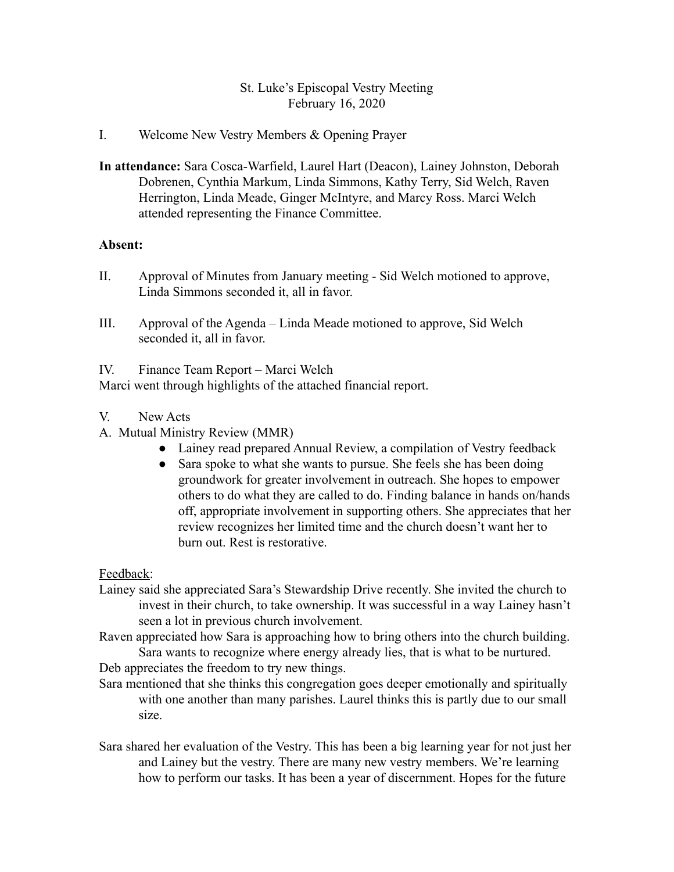## St. Luke's Episcopal Vestry Meeting February 16, 2020

## I. Welcome New Vestry Members & Opening Prayer

**In attendance:** Sara Cosca-Warfield, Laurel Hart (Deacon), Lainey Johnston, Deborah Dobrenen, Cynthia Markum, Linda Simmons, Kathy Terry, Sid Welch, Raven Herrington, Linda Meade, Ginger McIntyre, and Marcy Ross. Marci Welch attended representing the Finance Committee.

## **Absent:**

- II. Approval of Minutes from January meeting Sid Welch motioned to approve, Linda Simmons seconded it, all in favor.
- III. Approval of the Agenda Linda Meade motioned to approve, Sid Welch seconded it, all in favor.

IV. Finance Team Report – Marci Welch

Marci went through highlights of the attached financial report.

- V. New Acts
- A. Mutual Ministry Review (MMR)
	- Lainey read prepared Annual Review, a compilation of Vestry feedback
	- Sara spoke to what she wants to pursue. She feels she has been doing groundwork for greater involvement in outreach. She hopes to empower others to do what they are called to do. Finding balance in hands on/hands off, appropriate involvement in supporting others. She appreciates that her review recognizes her limited time and the church doesn't want her to burn out. Rest is restorative.

Feedback:

- Lainey said she appreciated Sara's Stewardship Drive recently. She invited the church to invest in their church, to take ownership. It was successful in a way Lainey hasn't seen a lot in previous church involvement.
- Raven appreciated how Sara is approaching how to bring others into the church building. Sara wants to recognize where energy already lies, that is what to be nurtured.

Deb appreciates the freedom to try new things.

- Sara mentioned that she thinks this congregation goes deeper emotionally and spiritually with one another than many parishes. Laurel thinks this is partly due to our small size.
- Sara shared her evaluation of the Vestry. This has been a big learning year for not just her and Lainey but the vestry. There are many new vestry members. We're learning how to perform our tasks. It has been a year of discernment. Hopes for the future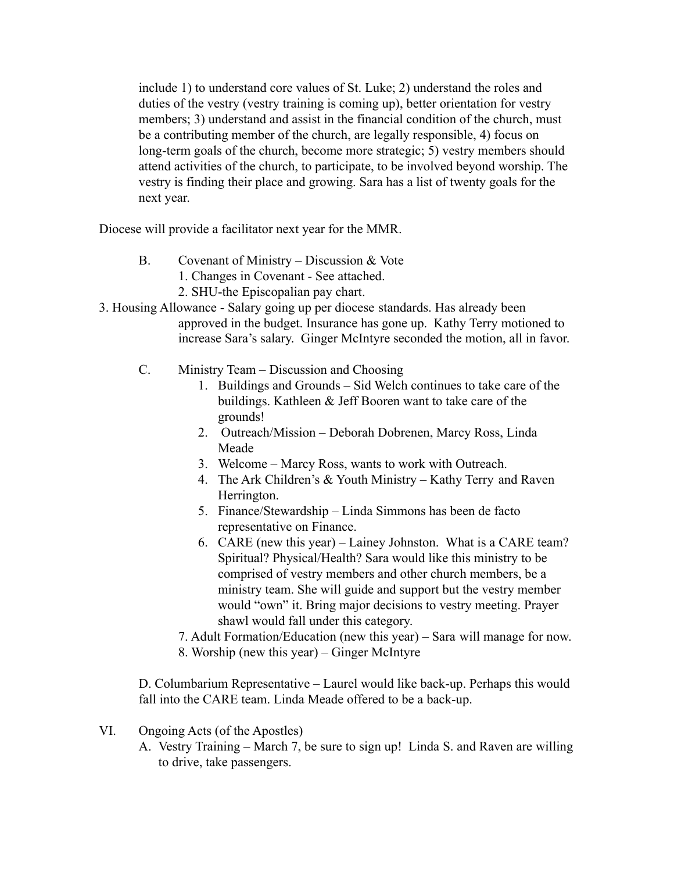include 1) to understand core values of St. Luke; 2) understand the roles and duties of the vestry (vestry training is coming up), better orientation for vestry members; 3) understand and assist in the financial condition of the church, must be a contributing member of the church, are legally responsible, 4) focus on long-term goals of the church, become more strategic; 5) vestry members should attend activities of the church, to participate, to be involved beyond worship. The vestry is finding their place and growing. Sara has a list of twenty goals for the next year.

Diocese will provide a facilitator next year for the MMR.

- B. Covenant of Ministry Discussion & Vote
	- 1. Changes in Covenant See attached.
	- 2. SHU-the Episcopalian pay chart.
- 3. Housing Allowance Salary going up per diocese standards. Has already been approved in the budget. Insurance has gone up. Kathy Terry motioned to increase Sara's salary. Ginger McIntyre seconded the motion, all in favor.
	- C. Ministry Team Discussion and Choosing
		- 1. Buildings and Grounds Sid Welch continues to take care of the buildings. Kathleen & Jeff Booren want to take care of the grounds!
		- 2. Outreach/Mission Deborah Dobrenen, Marcy Ross, Linda Meade
		- 3. Welcome Marcy Ross, wants to work with Outreach.
		- 4. The Ark Children's & Youth Ministry Kathy Terry and Raven Herrington.
		- 5. Finance/Stewardship Linda Simmons has been de facto representative on Finance.
		- 6. CARE (new this year) Lainey Johnston. What is a CARE team? Spiritual? Physical/Health? Sara would like this ministry to be comprised of vestry members and other church members, be a ministry team. She will guide and support but the vestry member would "own" it. Bring major decisions to vestry meeting. Prayer shawl would fall under this category.
		- 7. Adult Formation/Education (new this year) Sara will manage for now. 8. Worship (new this year) – Ginger McIntyre

D. Columbarium Representative – Laurel would like back-up. Perhaps this would fall into the CARE team. Linda Meade offered to be a back-up.

- VI. Ongoing Acts (of the Apostles)
	- A. Vestry Training March 7, be sure to sign up! Linda S. and Raven are willing to drive, take passengers.